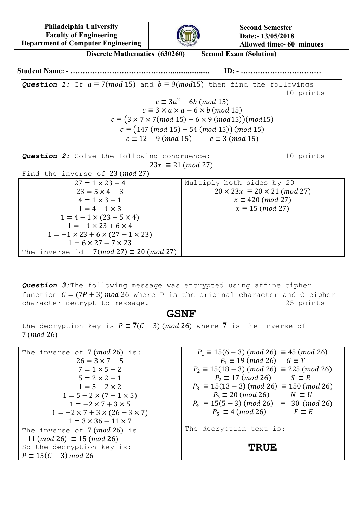**Philadelphia University Faculty of Engineering Department of Computer Engineering**



**Second Semester Date:- 13/05/2018 Allowed time:- 60 minutes**

**Discrete Mathematics (630260) Second Exam (Solution) Student Name: - …………………………………….................... ID: - …………………………… Question 1:** If  $a \equiv 7 \pmod{15}$  and  $b \equiv 9 \pmod{15}$  then find the followings 10 points  $c \equiv 3a^2$  $c \equiv 3 \times a \times a - 6 \times b \pmod{15}$  $c \equiv (3 \times 7 \times 7 \pmod{15} - 6 \times 9 \pmod{15})$ (mod15)  $c \equiv (147 \ (mod \ 15) - 54 \ (mod \ 15)) \ (mod \ 15)$  $c \equiv 12 - 9 \ (mod \ 15)$  $c \equiv 3 \pmod{15}$ **Question 2:** Solve the following congruence: 10 points  $23x \equiv 21 \pmod{27}$ Find the inverse of 23 (mod 27)  $27 = 1 \times 23 + 4$ Multiply both sides by 20  $20 \times 23x \equiv 20 \times 21 \ (mod 27)$  $23 = 5 \times 4 + 3$  $x \equiv 420 \ (mod \ 27)$  $4 = 1 \times 3 + 1$  $1 = 4 - 1 \times 3$  $x \equiv 15 \pmod{27}$  $1 = 4 - 1 \times (23 - 5 \times 4)$  $1 = -1 \times 23 + 6 \times 4$  $1 = -1 \times 23 + 6 \times (27 - 1 \times 23)$  $1 = 6 \times 27 - 7 \times 23$ The inverse id  $-7(mod 27) \equiv 20 (mod 27)$ 

*Question 3:*The following message was encrypted using affine cipher function  $C = (7P + 3) \mod 26$  where P is the original character and C cipher character decrypt to message. 25 points

## **GSNF**

the decryption key is  $P = \overline{7}(C-3)$  (mod 26) where  $\overline{7}$  is the inverse of 7 (*mod* 26)

| The inverse of $7 \pmod{26}$ is:               | $P_1 \equiv 15(6-3) \pmod{26} \equiv 45 \pmod{26}$         |
|------------------------------------------------|------------------------------------------------------------|
| $26 = 3 \times 7 + 5$                          | $P_1 \equiv 19 \ (mod \ 26) \quad G \equiv T$              |
| $7 = 1 \times 5 + 2$                           | $P_2 \equiv 15(18-3) \ (mod \ 26) \equiv 225 \ (mod \ 26)$ |
| $5 = 2 \times 2 + 1$                           | $P_2 \equiv 17 \pmod{26}$ $S \equiv R$                     |
| $1 = 5 - 2 \times 2$                           | $P_3 \equiv 15(13-3) \ (mod \ 26) \equiv 150 \ (mod \ 26)$ |
| $1 = 5 - 2 \times (7 - 1 \times 5)$            | $P_3 \equiv 20 \pmod{26}$ $N \equiv U$                     |
| $1 = -2 \times 7 + 3 \times 5$                 | $P_4 \equiv 15(5-3) \ (mod \ 26) \equiv 30 \ (mod \ 26)$   |
| $1 = -2 \times 7 + 3 \times (26 - 3 \times 7)$ | $P_5 \equiv 4 \pmod{26}$ $F \equiv E$                      |
| $1 = 3 \times 36 - 11 \times 7$                |                                                            |
| The inverse of $7 \pmod{26}$ is                | The decryption text is:                                    |
| $-11 \ (mod 26) \equiv 15 \ (mod 26)$          |                                                            |
| So the decryption key is:                      | <b>TRUE</b>                                                |
| $P \equiv 15(C - 3) \mod 26$                   |                                                            |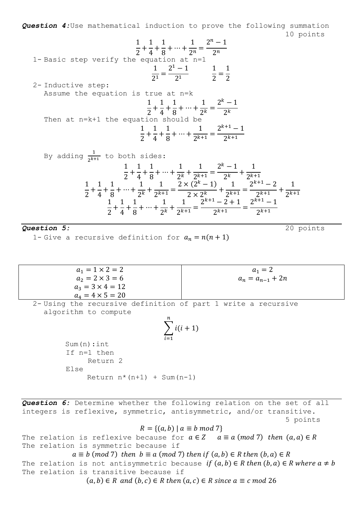*Question 4:*Use mathematical induction to prove the following summation 10 points

1- Basic step verify the equation at the number of the equation is 
$$
\frac{1}{2} + \frac{1}{4} + \frac{1}{8} + \dots + \frac{1}{2^n} = \frac{2^n - 1}{2^n}
$$
\n2- Inductive step:\n3. Show the equation is 
$$
\frac{1}{2^1} = \frac{2^1 - 1}{2^1} \qquad \frac{1}{2} = \frac{1}{2}
$$
\n2- Inductive step:\n3. Show the equation is 
$$
\frac{1}{2} + \frac{1}{4} + \frac{1}{8} + \dots + \frac{1}{2^k} = \frac{2^k - 1}{2^k}
$$
\nThen at 
$$
n = k + 1
$$
 the equation should be\n
$$
\frac{1}{2} + \frac{1}{4} + \frac{1}{8} + \dots + \frac{1}{2^{k+1}} = \frac{2^{k+1} - 1}{2^{k+1}}
$$
\nBy adding 
$$
\frac{1}{2^{k+1}}
$$
 to both sides:\n
$$
\frac{1}{2} + \frac{1}{4} + \frac{1}{8} + \dots + \frac{1}{2^k} + \frac{1}{2^{k+1}} = \frac{2^k - 1}{2^k} + \frac{1}{2^{k+1}}
$$
\n
$$
\frac{1}{2} + \frac{1}{4} + \frac{1}{8} + \dots + \frac{1}{2^k} + \frac{1}{2^{k+1}} = \frac{2 \times (2^k - 1)}{2 \times 2^k} + \frac{1}{2^{k+1}} = \frac{2^{k+1} - 2}{2^{k+1}} + \frac{1}{2^{k+1}}
$$
\nQuestion 5:\n1- Give a recursive definition for 
$$
a_n = n(n + 1)
$$
\n
$$
a_1 = 1 \times 2 = 2
$$
\n
$$
a_2 = 2 \times 3 = 6
$$
\n
$$
a_3 = 3 \times 4 = 12
$$
\n
$$
a_4 = a_{n-1} + 2n
$$

2- Using the recursive definition of part 1 write a recursive algorithm to compute  $\overline{n}$ 

$$
\sum_{i=1}^{n} i(i+1)
$$
  
Sum(n) : int  
If n=1 then  
Return 2

Return  $n*(n+1)$  + Sum $(n-1)$ 

 $a_4 = 4 \times 5 = 20$ 

Sum(n):int

Else

*Question 6:* Determine whether the following relation on the set of all integers is reflexive, symmetric, antisymmetric, and/or transitive. 5 points

 $R = \{(a, b) | a \equiv b \mod 7\}$ 

The relation is reflexive because for  $a \in Z$   $a \equiv a \pmod{7}$  then  $(a, a) \in R$ The relation is symmetric because if

 $a \equiv b \pmod{7}$  then  $b \equiv a \pmod{7}$  then if  $(a, b) \in R$  then  $(b, a) \in R$ The relation is not antisymmetric because if  $(a, b) \in R$  then  $(b, a) \in R$  where  $a \neq b$ The relation is transitive because if

 $(a, b) \in R$  and  $(b, c) \in R$  then  $(a, c) \in R$  since  $a \equiv c \mod 26$